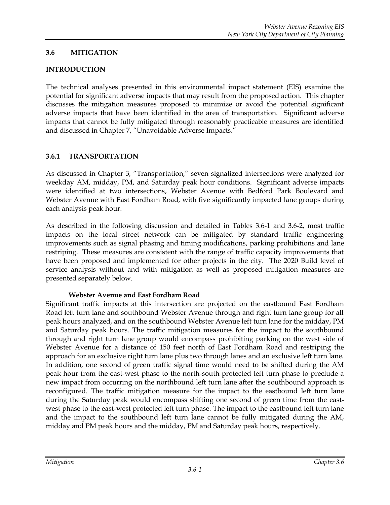### **3.6 MITIGATION**

### **INTRODUCTION**

The technical analyses presented in this environmental impact statement (EIS) examine the potential for significant adverse impacts that may result from the proposed action. This chapter discusses the mitigation measures proposed to minimize or avoid the potential significant adverse impacts that have been identified in the area of transportation. Significant adverse impacts that cannot be fully mitigated through reasonably practicable measures are identified and discussed in Chapter 7, "Unavoidable Adverse Impacts."

### **3.6.1 TRANSPORTATION**

As discussed in Chapter 3, "Transportation," seven signalized intersections were analyzed for weekday AM, midday, PM, and Saturday peak hour conditions. Significant adverse impacts were identified at two intersections, Webster Avenue with Bedford Park Boulevard and Webster Avenue with East Fordham Road, with five significantly impacted lane groups during each analysis peak hour.

As described in the following discussion and detailed in Tables 3.6-1 and 3.6-2, most traffic impacts on the local street network can be mitigated by standard traffic engineering improvements such as signal phasing and timing modifications, parking prohibitions and lane restriping. These measures are consistent with the range of traffic capacity improvements that have been proposed and implemented for other projects in the city. The 2020 Build level of service analysis without and with mitigation as well as proposed mitigation measures are presented separately below.

#### **Webster Avenue and East Fordham Road**

Significant traffic impacts at this intersection are projected on the eastbound East Fordham Road left turn lane and southbound Webster Avenue through and right turn lane group for all peak hours analyzed, and on the southbound Webster Avenue left turn lane for the midday, PM and Saturday peak hours. The traffic mitigation measures for the impact to the southbound through and right turn lane group would encompass prohibiting parking on the west side of Webster Avenue for a distance of 150 feet north of East Fordham Road and restriping the approach for an exclusive right turn lane plus two through lanes and an exclusive left turn lane. In addition, one second of green traffic signal time would need to be shifted during the AM peak hour from the east-west phase to the north-south protected left turn phase to preclude a new impact from occurring on the northbound left turn lane after the southbound approach is reconfigured. The traffic mitigation measure for the impact to the eastbound left turn lane during the Saturday peak would encompass shifting one second of green time from the eastwest phase to the east-west protected left turn phase. The impact to the eastbound left turn lane and the impact to the southbound left turn lane cannot be fully mitigated during the AM, midday and PM peak hours and the midday, PM and Saturday peak hours, respectively.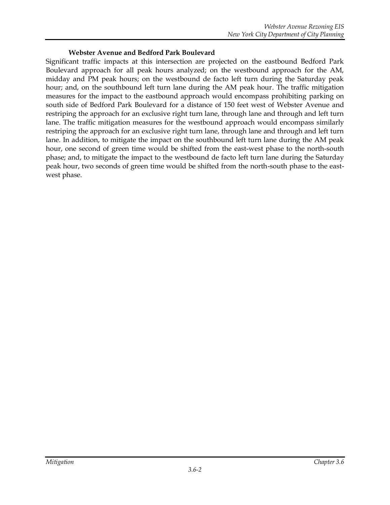### **Webster Avenue and Bedford Park Boulevard**

Significant traffic impacts at this intersection are projected on the eastbound Bedford Park Boulevard approach for all peak hours analyzed; on the westbound approach for the AM, midday and PM peak hours; on the westbound de facto left turn during the Saturday peak hour; and, on the southbound left turn lane during the AM peak hour. The traffic mitigation measures for the impact to the eastbound approach would encompass prohibiting parking on south side of Bedford Park Boulevard for a distance of 150 feet west of Webster Avenue and restriping the approach for an exclusive right turn lane, through lane and through and left turn lane. The traffic mitigation measures for the westbound approach would encompass similarly restriping the approach for an exclusive right turn lane, through lane and through and left turn lane. In addition, to mitigate the impact on the southbound left turn lane during the AM peak hour, one second of green time would be shifted from the east-west phase to the north-south phase; and, to mitigate the impact to the westbound de facto left turn lane during the Saturday peak hour, two seconds of green time would be shifted from the north-south phase to the eastwest phase.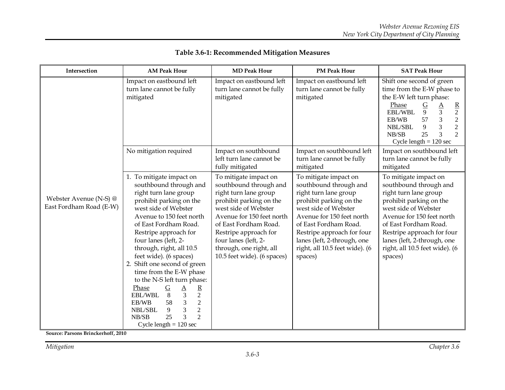| Intersection                                      | <b>AM Peak Hour</b>                                                                                                                                                                                                                                                                                                                                                                                                                                                                                                                                                                               | <b>MD Peak Hour</b>                                                                                                                                                                                                                                                                          | <b>PM Peak Hour</b>                                                                                                                                                                                                                                                                         | <b>SAT Peak Hour</b>                                                                                                                                                                                                                                                                                             |  |  |  |  |  |  |
|---------------------------------------------------|---------------------------------------------------------------------------------------------------------------------------------------------------------------------------------------------------------------------------------------------------------------------------------------------------------------------------------------------------------------------------------------------------------------------------------------------------------------------------------------------------------------------------------------------------------------------------------------------------|----------------------------------------------------------------------------------------------------------------------------------------------------------------------------------------------------------------------------------------------------------------------------------------------|---------------------------------------------------------------------------------------------------------------------------------------------------------------------------------------------------------------------------------------------------------------------------------------------|------------------------------------------------------------------------------------------------------------------------------------------------------------------------------------------------------------------------------------------------------------------------------------------------------------------|--|--|--|--|--|--|
|                                                   | Impact on eastbound left<br>turn lane cannot be fully<br>mitigated                                                                                                                                                                                                                                                                                                                                                                                                                                                                                                                                | Impact on eastbound left<br>turn lane cannot be fully<br>mitigated                                                                                                                                                                                                                           | Impact on eastbound left<br>turn lane cannot be fully<br>mitigated                                                                                                                                                                                                                          | Shift one second of green<br>time from the E-W phase to<br>the E-W left turn phase:<br>Phase<br>$rac{G}{9}$<br>$rac{A}{3}$<br>$rac{R}{2}$<br>EBL/WBL<br>$\overline{2}$<br>$\mathfrak{Z}$<br>EB/WB<br>57<br>3<br>$\overline{2}$<br>NBL/SBL<br>9<br>3<br>25<br>$\mathfrak{D}$<br>NB/SB<br>Cycle length $= 120$ sec |  |  |  |  |  |  |
|                                                   | No mitigation required                                                                                                                                                                                                                                                                                                                                                                                                                                                                                                                                                                            | Impact on southbound<br>left turn lane cannot be<br>fully mitigated                                                                                                                                                                                                                          | Impact on southbound left<br>turn lane cannot be fully<br>mitigated                                                                                                                                                                                                                         | Impact on southbound left<br>turn lane cannot be fully<br>mitigated                                                                                                                                                                                                                                              |  |  |  |  |  |  |
| Webster Avenue (N-S) @<br>East Fordham Road (E-W) | 1. To mitigate impact on<br>southbound through and<br>right turn lane group<br>prohibit parking on the<br>west side of Webster<br>Avenue to 150 feet north<br>of East Fordham Road.<br>Restripe approach for<br>four lanes (left, 2-<br>through, right, all 10.5<br>feet wide). (6 spaces)<br>2. Shift one second of green<br>time from the E-W phase<br>to the N-S left turn phase:<br>$rac{G}{8}$<br>$\frac{A}{3}$<br>Phase<br>$\frac{R}{2}$ $2$ $2$<br>EBL/WBL<br>58<br>EB/WB<br>$\overline{3}$<br>NBL/SBL<br>9<br>$\overline{3}$<br>$\overline{2}$<br>25<br>NB/SB<br>Cycle length $= 120$ sec | To mitigate impact on<br>southbound through and<br>right turn lane group<br>prohibit parking on the<br>west side of Webster<br>Avenue for 150 feet north<br>of East Fordham Road.<br>Restripe approach for<br>four lanes (left, 2-<br>through, one right, all<br>10.5 feet wide). (6 spaces) | To mitigate impact on<br>southbound through and<br>right turn lane group<br>prohibit parking on the<br>west side of Webster<br>Avenue for 150 feet north<br>of East Fordham Road.<br>Restripe approach for four<br>lanes (left, 2-through, one<br>right, all 10.5 feet wide). (6<br>spaces) | To mitigate impact on<br>southbound through and<br>right turn lane group<br>prohibit parking on the<br>west side of Webster<br>Avenue for 150 feet north<br>of East Fordham Road.<br>Restripe approach for four<br>lanes (left, 2-through, one<br>right, all 10.5 feet wide). (6<br>spaces)                      |  |  |  |  |  |  |

# **Table 3.6-1: Recommended Mitigation Measures**

**Source: Parsons Brinckerhoff, 2010**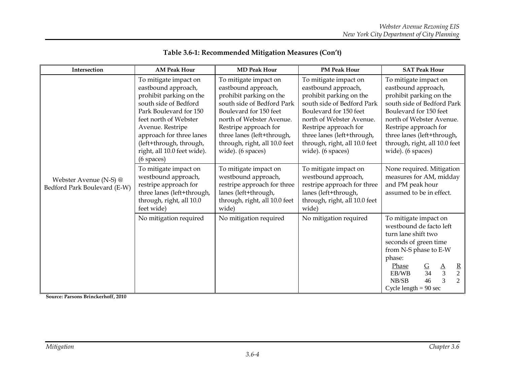| Intersection                                           | <b>AM Peak Hour</b>                                                                                                                                                                                                                                                              | <b>MD Peak Hour</b>                                                                                                                                                                                                                                                      | <b>PM Peak Hour</b>                                                                                                                                                                                                                                                      | <b>SAT Peak Hour</b>                                                                                                                                                                                                                                                           |  |  |  |  |  |
|--------------------------------------------------------|----------------------------------------------------------------------------------------------------------------------------------------------------------------------------------------------------------------------------------------------------------------------------------|--------------------------------------------------------------------------------------------------------------------------------------------------------------------------------------------------------------------------------------------------------------------------|--------------------------------------------------------------------------------------------------------------------------------------------------------------------------------------------------------------------------------------------------------------------------|--------------------------------------------------------------------------------------------------------------------------------------------------------------------------------------------------------------------------------------------------------------------------------|--|--|--|--|--|
|                                                        | To mitigate impact on<br>eastbound approach,<br>prohibit parking on the<br>south side of Bedford<br>Park Boulevard for 150<br>feet north of Webster<br>Avenue. Restripe<br>approach for three lanes<br>(left+through, through,<br>right, all 10.0 feet wide).<br>$(6$ spaces $)$ | To mitigate impact on<br>eastbound approach,<br>prohibit parking on the<br>south side of Bedford Park<br>Boulevard for 150 feet<br>north of Webster Avenue.<br>Restripe approach for<br>three lanes (left+through,<br>through, right, all 10.0 feet<br>wide). (6 spaces) | To mitigate impact on<br>eastbound approach,<br>prohibit parking on the<br>south side of Bedford Park<br>Boulevard for 150 feet<br>north of Webster Avenue.<br>Restripe approach for<br>three lanes (left+through,<br>through, right, all 10.0 feet<br>wide). (6 spaces) | To mitigate impact on<br>eastbound approach,<br>prohibit parking on the<br>south side of Bedford Park<br>Boulevard for 150 feet<br>north of Webster Avenue.<br>Restripe approach for<br>three lanes (left+through,<br>through, right, all 10.0 feet<br>wide). (6 spaces)       |  |  |  |  |  |
| Webster Avenue (N-S) @<br>Bedford Park Boulevard (E-W) | To mitigate impact on<br>westbound approach,<br>restripe approach for<br>three lanes (left+through,<br>through, right, all 10.0<br>feet wide)                                                                                                                                    | To mitigate impact on<br>westbound approach,<br>restripe approach for three<br>lanes (left+through,<br>through, right, all 10.0 feet<br>wide)                                                                                                                            | To mitigate impact on<br>westbound approach,<br>restripe approach for three<br>lanes (left+through,<br>through, right, all 10.0 feet<br>wide)                                                                                                                            | None required. Mitigation<br>measures for AM, midday<br>and PM peak hour<br>assumed to be in effect.                                                                                                                                                                           |  |  |  |  |  |
|                                                        | No mitigation required                                                                                                                                                                                                                                                           | No mitigation required                                                                                                                                                                                                                                                   | No mitigation required                                                                                                                                                                                                                                                   | To mitigate impact on<br>westbound de facto left<br>turn lane shift two<br>seconds of green time<br>from N-S phase to E-W<br>phase:<br>Phase<br>$rac{G}{34}$<br>$rac{R}{2}$<br>2<br>$rac{A}{3}$<br>EB/WB<br>$\overline{\mathcal{E}}$<br>46<br>NB/SB<br>Cycle length $= 90$ sec |  |  |  |  |  |

# **Table 3.6-1: Recommended Mitigation Measures (Con't)**

**Source: Parsons Brinckerhoff, 2010**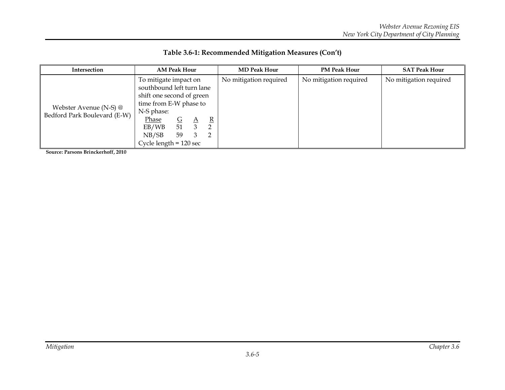| Intersection                                           |                                                                                                                                                                                       | <b>AM Peak Hour</b>                             |                                                  | <b>MD Peak Hour</b>    | <b>PM Peak Hour</b>    | <b>SAT Peak Hour</b>   |  |  |  |  |  |
|--------------------------------------------------------|---------------------------------------------------------------------------------------------------------------------------------------------------------------------------------------|-------------------------------------------------|--------------------------------------------------|------------------------|------------------------|------------------------|--|--|--|--|--|
| Webster Avenue (N-S) @<br>Bedford Park Boulevard (E-W) | To mitigate impact on<br>southbound left turn lane<br>shift one second of green<br>time from E-W phase to<br>N-S phase:<br><u>Phase</u><br>EB/WB<br>NB/SB<br>Cycle length $= 120$ sec | $\mathsf{G}$<br>$\Delta$<br>51<br>-3<br>59<br>3 | $\mathbf{R}$<br>$\overline{2}$<br>$\overline{2}$ | No mitigation required | No mitigation required | No mitigation required |  |  |  |  |  |

**Source: Parsons Brinckerhoff, 2010**